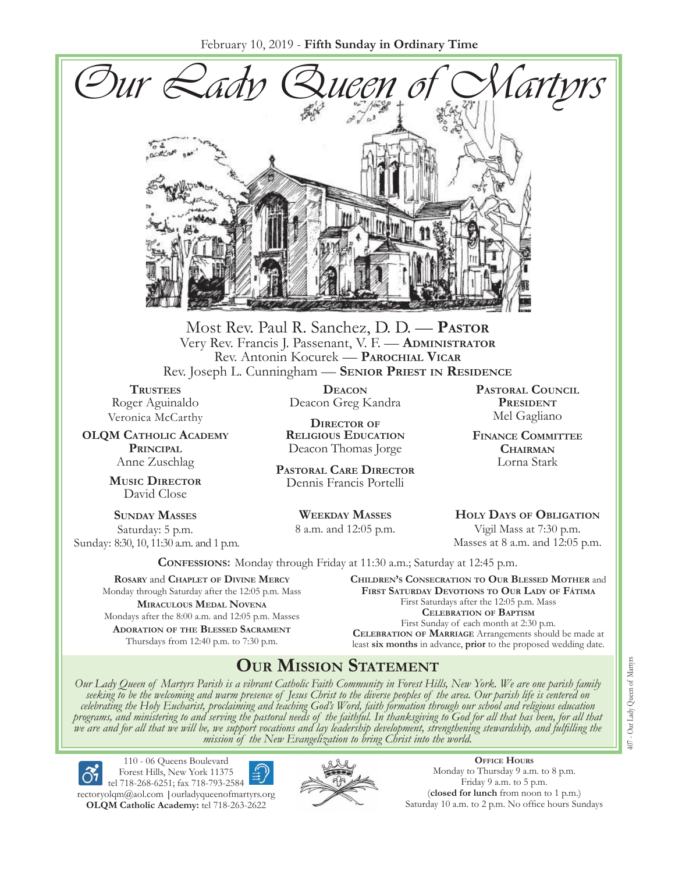

Most Rev. Paul R. Sanchez, D. D. — **Pastor** Very Rev. Francis J. Passenant, V. F. — **Administrator** Rev. Antonin Kocurek — **Parochial Vicar** Rev. Joseph L. Cunningham — **Senior Priest in Residence**

**TRUSTEES** Roger Aguinaldo Veronica McCarthy

**OLQM Catholic Academy Principal** Anne Zuschlag

> **Music Director** David Close

**Sunday Masses** Saturday: 5 p.m. Sunday: 8:30, 10, 11:30 a.m. and 1 p.m.

**Deacon** Deacon Greg Kandra

**Director of Religious Education** Deacon Thomas Jorge

**Pastoral Care Director** Dennis Francis Portelli

> **Weekday Masses** 8 a.m. and 12:05 p.m.

**Pastoral Council** PRESIDENT Mel Gagliano

**Finance Committee Chairman** Lorna Stark

**Holy Days of Obligation** Vigil Mass at 7:30 p.m. Masses at 8 a.m. and 12:05 p.m.

**Confessions:** Monday through Friday at 11:30 a.m.; Saturday at 12:45 p.m.

**Rosary** and **Chaplet of Divine Mercy** Monday through Saturday after the 12:05 p.m. Mass **Miraculous Medal Novena** Mondays after the 8:00 a.m. and 12:05 p.m. Masses **Adoration of the Blessed Sacrament** Thursdays from 12:40 p.m. to 7:30 p.m.

**Children's Consecration to Our Blessed Mother** and **First Saturday Devotions to Our Lady of Fátima** First Saturdays after the 12:05 p.m. Mass **Celebration of Baptism** First Sunday of each month at 2:30 p.m. **Celebration of Marriage** Arrangements should be made at least **six months** in advance, **prior** to the proposed wedding date.

## **Our Mission Statement**

Our Lady Queen of Martyrs Parish is a vibrant Catholic Faith Community in Forest Hills, New York. We are one parish family<br>seeking to be the welcoming and warm presence of Jesus Christ to the diverse peoples of the area. O *celebrating the Holy Eucharist, proclaiming and teaching God's Word, faith formation through our school and religious education*  programs, and ministering to and serving the pastoral needs of the faithful. In thanksgiving to God for all that has been, for all that<br>we are and for all that we will be, we support vocations and lay leadership developmen



110 - 06 Queens Boulevard Forest Hills, New York 11375 tel 718-268-6251; fax 718-793-2584

[rectoryolqm@aol.com](mailto:rectoryolqm@aol.com) **|**[ourladyqueenofmartyrs.org](www.ourladyqueenofmartyrs.org) **OLQM Catholic Academy:** tel 718-263-2622



**Office Hours** Monday to Thursday 9 a.m. to 8 p.m. Friday 9 a.m. to 5 p.m. (**closed for lunch** from noon to 1 p.m.) Saturday 10 a.m. to 2 p.m. No office hours Sundays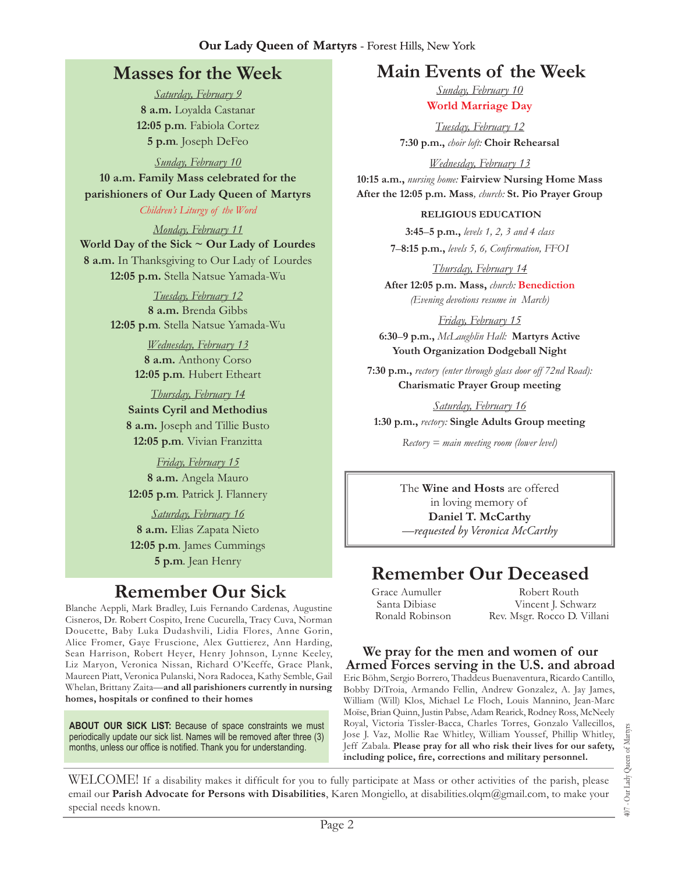#### **Our Lady Queen of Martyrs** - Forest Hills, New York

## **Masses for the Week**

*Saturday, February 9* **8 a.m.** Loyalda Castanar **12:05 p.m***.* Fabiola Cortez **5 p.m***.* Joseph DeFeo

*Sunday, February 10* **10 a.m. Family Mass celebrated for the parishioners of Our Lady Queen of Martyrs** *Children's Liturgy of the Word* 

*Monday, February 11* **World Day of the Sick ~ Our Lady of Lourdes 8 a.m.** In Thanksgiving to Our Lady of Lourdes **12:05 p.m.** Stella Natsue Yamada-Wu

> *Tuesday, February 12* **8 a.m.** Brenda Gibbs **12:05 p.m***.* Stella Natsue Yamada-Wu

> > *Wednesday, February 13* **8 a.m.** Anthony Corso **12:05 p.m***.* Hubert Etheart

*Thursday, February 14* **Saints Cyril and Methodius 8 a.m.** Joseph and Tillie Busto **12:05 p.m***.* Vivian Franzitta

*Friday, February 15* **8 a.m.** Angela Mauro **12:05 p.m***.* Patrick J. Flannery

*Saturday, February 16* **8 a.m.** Elias Zapata Nieto **12:05 p.m***.* James Cummings **5 p.m***.* Jean Henry

## **Remember Our Sick**

Blanche Aeppli, Mark Bradley, Luis Fernando Cardenas, Augustine Cisneros, Dr. Robert Cospito, Irene Cucurella, Tracy Cuva, Norman Doucette, Baby Luka Dudashvili, Lidia Flores, Anne Gorin, Alice Fromer, Gaye Fruscione, Alex Guttierez, Ann Harding, Sean Harrison, Robert Heyer, Henry Johnson, Lynne Keeley, Liz Maryon, Veronica Nissan, Richard O'Keeffe, Grace Plank, Maureen Piatt, Veronica Pulanski, Nora Radocea, Kathy Semble, Gail Whelan, Brittany Zaita—**and all parishioners currently in nursing homes, hospitals or confined to their homes**

**About Our Sick List:** Because of space constraints we must periodically update our sick list. Names will be removed after three (3) months, unless our office is notified. Thank you for understanding.

## **Main Events of the Week**

*Sunday, February 10* **World Marriage Day**

*Tuesday, February 12* **7:30 p.m.,** *choir loft:* **Choir Rehearsal**

*Wednesday, February 13*

**10:15 a.m.,** *nursing home:* **Fairview Nursing Home Mass After the 12:05 p.m. Mass***, church:* **St. Pio Prayer Group**

#### **Religious Education**

**3:45**–**5 p.m.,** *levels 1, 2, 3 and 4 class* **7**–**8:15 p.m.,** *levels 5, 6, Confirmation, FFO  I*

*Thursday, February 14* **After 12:05 p.m. Mass,** *church:* **Benediction** *(Evening devotions resume in March)*

*Friday, February 15* **6:30**–**9 p.m.,** *McLaughlin Hall:* **Martyrs Active Youth Organization Dodgeball Night**

**7:30 p.m.,** *rectory (enter through glass door off 72nd Road):*  **Charismatic Prayer Group meeting**

*Saturday, February 16* **1:30 p.m.,** *rectory:* **Single Adults Group meeting**

*Rectory = main meeting room (lower level)*

The **Wine and Hosts** are offered in loving memory of **Daniel T. McCarthy** *—requested by Veronica McCarthy*

## **Remember Our Deceased**

Grace Aumuller Santa Dibiase Ronald Robinson

Robert Routh Vincent J. Schwarz Rev. Msgr. Rocco D. Villani

#### **We pray for the men and women of our Armed Forces serving in the U.S. and abroad**

Eric Böhm, Sergio Borrero, Thaddeus Buenaventura, Ricardo Cantillo, Bobby DiTroia, Armando Fellin, Andrew Gonzalez, A. Jay James, William (Will) Klos, Michael Le Floch, Louis Mannino, Jean-Marc Moïse, Brian Quinn, Justin Pabse, Adam Rearick, Rodney Ross, McNeely Royal, Victoria Tissler-Bacca, Charles Torres, Gonzalo Vallecillos, Jose J. Vaz, Mollie Rae Whitley, William Youssef, Phillip Whitley, Jeff Zabala. **Please pray for all who risk their lives for our safety, including police, fire, corrections and military personnel.**

407 - Our Lady Queen of Martyrs 407 - Our Lady Queen of Martyrs

WELCOME! If a disability makes it difficult for you to fully participate at Mass or other activities of the parish, please email our **Parish Advocate for Persons with Disabilities**, Karen Mongiello, at [disabilities.olqm@gmail.com,](mailto:disabilities.olqm@gmail.com) to make your special needs known.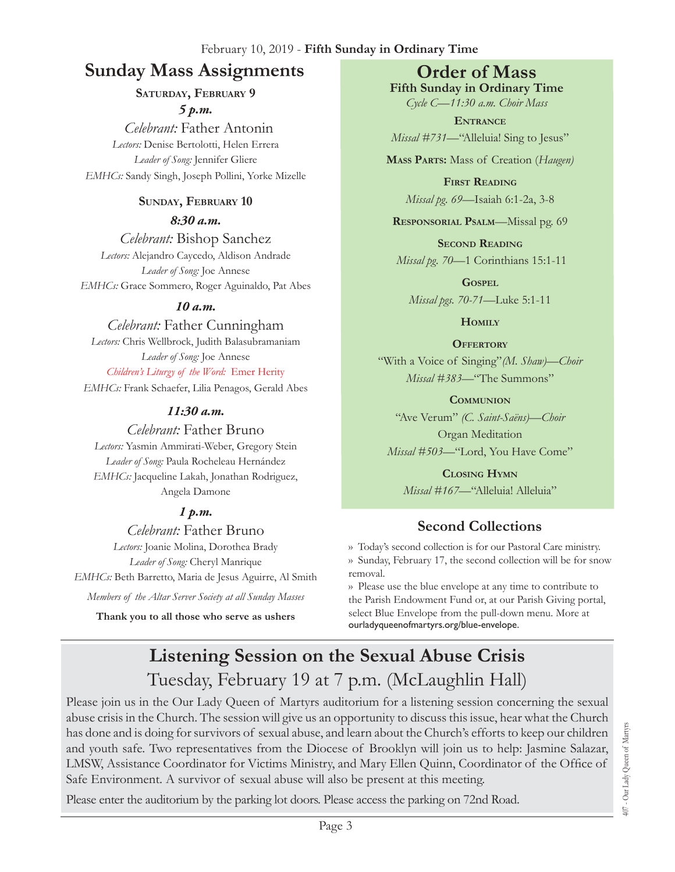#### February 10, 2019 - **Fifth Sunday in Ordinary Time**

## **Sunday Mass Assignments Order of Mass**

**Saturday, February 9** *5 p.m.* 

 *Celebrant:* Father Antonin *Lectors:* Denise Bertolotti, Helen Errera *Leader of Song:* Jennifer Gliere *EMHCs:* Sandy Singh, Joseph Pollini, Yorke Mizelle

#### **Sunday, February 10**

*8:30 a.m.* 

*Celebrant:* Bishop Sanchez *Lectors:* Alejandro Caycedo, Aldison Andrade *Leader of Song:* Joe Annese *EMHCs:* Grace Sommero, Roger Aguinaldo, Pat Abes

#### *10 a.m.*

*Celebrant:* Father Cunningham *Lectors:* Chris Wellbrock, Judith Balasubramaniam

*Leader of Song:* Joe Annese *Children's Liturgy of the Word:* Emer Herity

*EMHCs:* Frank Schaefer, Lilia Penagos, Gerald Abes

#### *11:30 a.m.*

*Celebrant:* Father Bruno

*Lectors:* Yasmin Ammirati-Weber, Gregory Stein *Leader of Song:* Paula Rocheleau Hernández *EMHCs:* Jacqueline Lakah, Jonathan Rodriguez, Angela Damone

#### *1 p.m.*

*Celebrant:* Father Bruno *Lectors:* Joanie Molina, Dorothea Brady *Leader of Song:* Cheryl Manrique

*EMHCs:* Beth Barretto, Maria de Jesus Aguirre, Al Smith

*Members of the Altar Server Society at all Sunday Masses*

**Thank you to all those who serve as ushers**

**Fifth Sunday in Ordinary Time** *Cycle C—11:30 a.m. Choir Mass*

**Entrance** *Missal #731—*"Alleluia! Sing to Jesus"

**Mass Parts:** Mass of Creation (*Haugen)*

**First Reading** *Missal pg. 69—*Isaiah 6:1-2a, 3-8

**Responsorial Psalm**—Missal pg. 69

**Second Reading** *Missal pg. 70—*1 Corinthians 15:1-11

**Gospel** *Missal pgs. 70-71—*Luke 5:1-11

**Homily**

**Offertory**

"With a Voice of Singing"*(M. Shaw)—Choir Missal #383—*"The Summons"

**Communion** "Ave Verum" *(C. Saint-Saëns)—Choir* Organ Meditation *Missal #503—*"Lord, You Have Come"

**Closing Hymn** *Missal #167*—"Alleluia! Alleluia"

## **Second Collections**

›› Today's second collection is for our Pastoral Care ministry. ›› Sunday, February 17, the second collection will be for snow removal.

›› Please use the blue envelope at any time to contribute to the Parish Endowment Fund or, at our Parish Giving portal, select Blue Envelope from the pull-down menu. More at ourladyqueenofmartyrs.org/blue-envelope.

# **Listening Session on the Sexual Abuse Crisis**  Tuesday, February 19 at 7 p.m. (McLaughlin Hall)

Please join us in the Our Lady Queen of Martyrs auditorium for a listening session concerning the sexual abuse crisis in the Church. The session will give us an opportunity to discuss this issue, hear what the Church has done and is doing for survivors of sexual abuse, and learn about the Church's efforts to keep our children and youth safe. Two representatives from the Diocese of Brooklyn will join us to help: Jasmine Salazar, LMSW, Assistance Coordinator for Victims Ministry, and Mary Ellen Quinn, Coordinator of the Office of Safe Environment. A survivor of sexual abuse will also be present at this meeting.

Please enter the auditorium by the parking lot doors. Please access the parking on 72nd Road.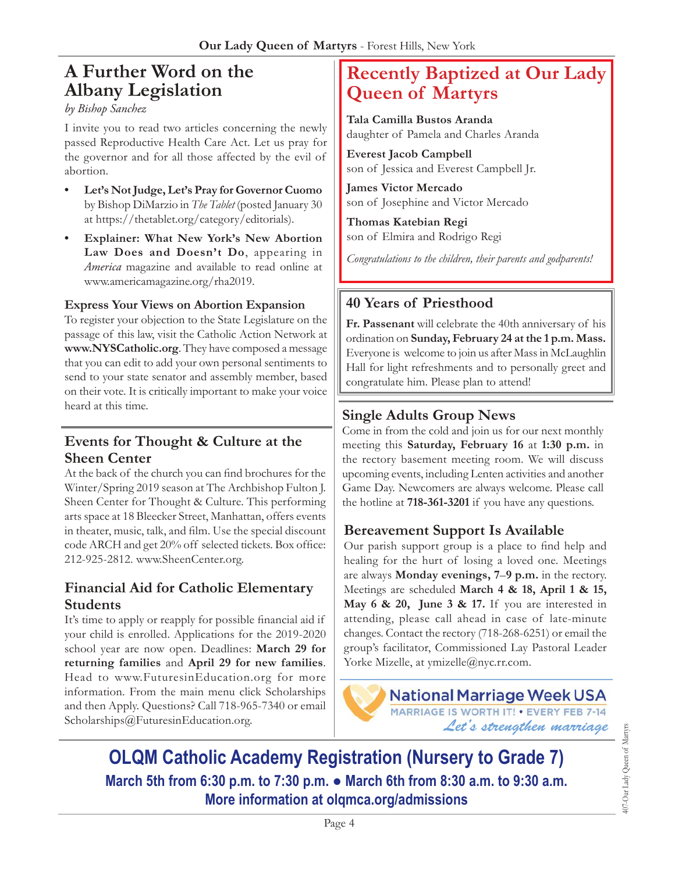## **A Further Word on the Albany Legislation**

#### *by Bishop Sanchez*

I invite you to read two articles concerning the newly passed Reproductive Health Care Act. Let us pray for the governor and for all those affected by the evil of abortion.

- **• Let's Not Judge, Let's Pray for Governor Cuomo** by Bishop DiMarzio in *The Tablet* (posted January 30 at <https://thetablet.org/category/editorials>).
- **• Explainer: What New York's New Abortion Law Does and Doesn't Do**, appearing in *America* magazine and available to read online at <www.americamagazine.org/rha>2019.

#### **Express Your Views on Abortion Expansion**

To register your objection to the State Legislature on the passage of this law, visit the Catholic Action Network at **<www.NYSCatholic.org>**. They have composed a message that you can edit to add your own personal sentiments to send to your state senator and assembly member, based on their vote. It is critically important to make your voice heard at this time.

#### **Events for Thought & Culture at the Sheen Center**

At the back of the church you can find brochures for the Winter/Spring 2019 season at The Archbishop Fulton J. Sheen Center for Thought & Culture. This performing arts space at 18 Bleecker Street, Manhattan, offers events in theater, music, talk, and film. Use the special discount code ARCH and get 20% off selected tickets. Box office: 212-925-2812. [www.SheenCenter.org.](www.SheenCenter.org)

#### **Financial Aid for Catholic Elementary Students**

It's time to apply or reapply for possible financial aid if your child is enrolled. Applications for the 2019-2020 school year are now open. Deadlines: **March 29 for returning families** and **April 29 for new families**. Head to <www.FuturesinEducation.org>for more information. From the main menu click Scholarships and then Apply. Questions? Call 718-965-7340 or email [Scholarships@FuturesinEducation.org.](mailto:Scholarships@FuturesinEducation.org)

## **Recently Baptized at Our Lady Queen of Martyrs**

**Tala Camilla Bustos Aranda** daughter of Pamela and Charles Aranda

**Everest Jacob Campbell** son of Jessica and Everest Campbell Jr.

**James Victor Mercado** son of Josephine and Victor Mercado

**Thomas Katebian Regi** son of Elmira and Rodrigo Regi

*Congratulations to the children, their parents and godparents!*

#### **40 Years of Priesthood**

**Fr. Passenant** will celebrate the 40th anniversary of his ordination on **Sunday, February 24 at the 1 p.m. Mass.**  Everyone is welcome to join us after Mass in McLaughlin Hall for light refreshments and to personally greet and congratulate him. Please plan to attend!

#### **Single Adults Group News**

Come in from the cold and join us for our next monthly meeting this **Saturday, February 16** at **1:30 p.m.** in the rectory basement meeting room. We will discuss upcoming events, including Lenten activities and another Game Day. Newcomers are always welcome. Please call the hotline at **718-361-3201** if you have any questions.

#### **Bereavement Support Is Available**

Our parish support group is a place to find help and healing for the hurt of losing a loved one. Meetings are always **Monday evenings, 7**–**9 p.m.** in the rectory. Meetings are scheduled **March 4 & 18, April 1 & 15, May 6 & 20, June 3 & 17.** If you are interested in attending, please call ahead in case of late-minute changes. Contact the rectory (718-268-6251) or email the group's facilitator, Commissioned Lay Pastoral Leader Yorke Mizelle, at [ymizelle@nyc.rr.com.](mailto:ymizelle@nyc.rr.com)



**OLQM Catholic Academy Registration (Nursery to Grade 7) March 5th from 6:30 p.m. to 7:30 p.m. ● March 6th from 8:30 a.m. to 9:30 a.m. More information at [olqmca.org/admissions](https://olqmca.org/admissions/)**

407-Our Lady Queen of Martyrs 407-Our Lady Queen of Martyrs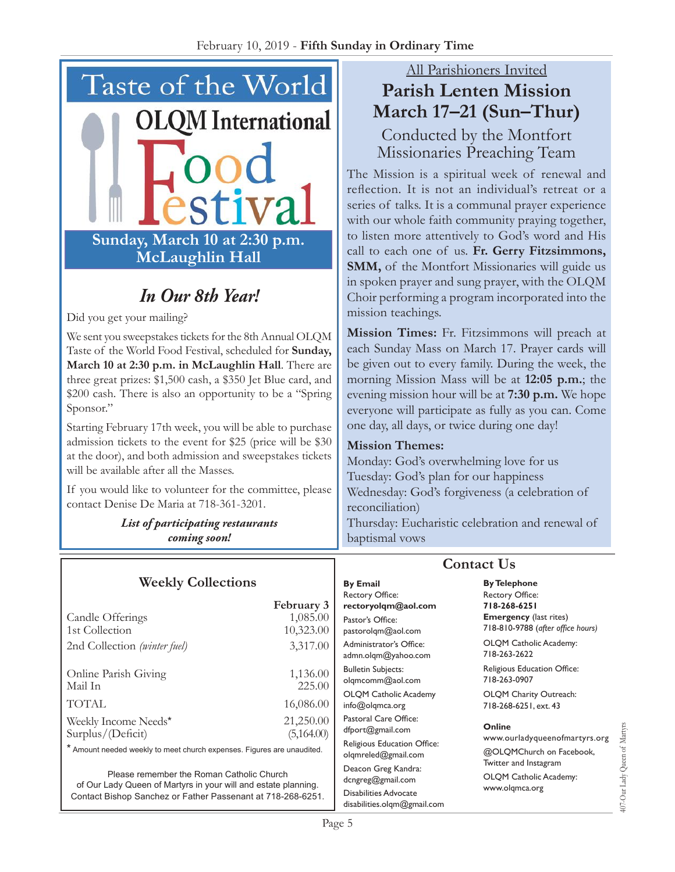

# *In Our 8th Year!*

Did you get your mailing?

We sent you sweepstakes tickets for the 8th Annual OLQM Taste of the World Food Festival, scheduled for **Sunday, March 10 at 2:30 p.m. in McLaughlin Hall**. There are three great prizes: \$1,500 cash, a \$350 Jet Blue card, and \$200 cash. There is also an opportunity to be a "Spring Sponsor."

Starting February 17th week, you will be able to purchase admission tickets to the event for \$25 (price will be \$30 at the door), and both admission and sweepstakes tickets will be available after all the Masses.

If you would like to volunteer for the committee, please contact Denise De Maria at 718-361-3201.

> *List of participating restaurants coming soon!*

#### **Weekly Collections**

#### **February 3**<br>1,085.00 Candle Offerings 1st Collection 10,323.00 2nd Collection *(winter fuel)* 3,317.00 Online Parish Giving 1,136.00 Mail In 225.00 TOTAL 16,086.00 Weekly Income Needs\* 21,250.00 Surplus/(Deficit) (5,164.00)

\* Amount needed weekly to meet church expenses. Figures are unaudited.

Please remember the Roman Catholic Church of Our Lady Queen of Martyrs in your will and estate planning. Contact Bishop Sanchez or Father Passenant at 718-268-6251.

## All Parishioners Invited **Parish Lenten Mission March 17–21 (Sun–Thur)**

Conducted by the Montfort Missionaries Preaching Team

The Mission is a spiritual week of renewal and reflection. It is not an individual's retreat or a series of talks. It is a communal prayer experience with our whole faith community praying together, to listen more attentively to God's word and His call to each one of us. **Fr. Gerry Fitzsimmons, SMM**, of the Montfort Missionaries will guide us in spoken prayer and sung prayer, with the OLQM Choir performing a program incorporated into the mission teachings.

**Mission Times:** Fr. Fitzsimmons will preach at each Sunday Mass on March 17. Prayer cards will be given out to every family. During the week, the morning Mission Mass will be at **12:05 p.m.**; the evening mission hour will be at **7:30 p.m.** We hope everyone will participate as fully as you can. Come one day, all days, or twice during one day!

#### **Mission Themes:**

Monday: God's overwhelming love for us Tuesday: God's plan for our happiness Wednesday: God's forgiveness (a celebration of reconciliation)

Thursday: Eucharistic celebration and renewal of baptismal vows

**By Email** Rectory Office: **rectoryolqm@aol.com** Pastor's Office: pastorolqm@aol.com Administrator's Office: admn.olqm@yahoo.com Bulletin Subjects: olqmcomm@aol.com OLQM Catholic Academy info@olqmca.org Pastoral Care Office: dfport@gmail.com Religious Education Office: olqmreled@gmail.com Deacon Greg Kandra: dcngreg@gmail.com Disabilities Advocate [disabilities.olqm@gmail.com](mailto:disabilities.olqm@gmail.com)

## **Contact Us**

**By Telephone** Rectory Office: **718-268-6251 Emergency** (last rites) 718-810-9788 (*after office hours)*

OLQM Catholic Academy: 718-263-2622

Religious Education Office: 718-263-0907

OLQM Charity Outreach: 718-268-6251, ext. 43

#### **Online**

www.ourladyqueenofmartyrs.org @OLQMChurch on Facebook, Twitter and Instagram OLQM Catholic Academy: www.olqmca.org

107-Our Lady Queen of Martyrs 407-Our Lady Queen of Martyrs